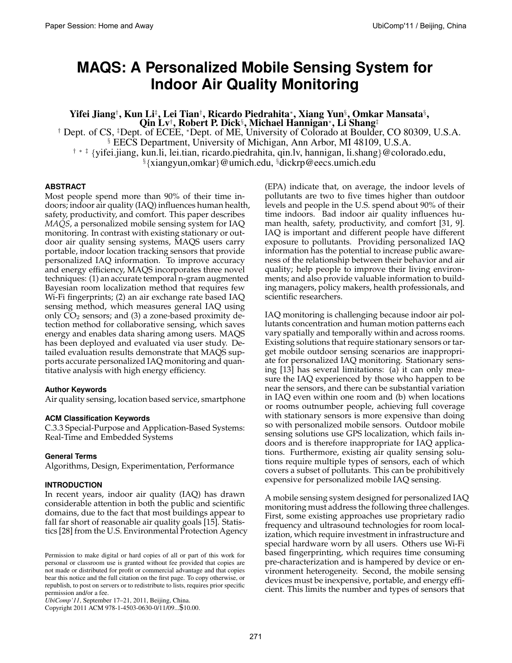# **MAQS: A Personalized Mobile Sensing System for Indoor Air Quality Monitoring**

Yifei Jiang†, Kun Li‡, Lei Tian†, Ricardo Piedrahita\*, Xiang Yun§, Omkar Mansata§, Qin Lv†, Robert P. Dick<sup>§</sup>, Michael Hannigan\*, Li Shang‡

† Dept. of CS, ‡Dept. of ECEE, <sup>∗</sup>Dept. of ME, University of Colorado at Boulder, CO 80309, U.S.A. § EECS Department, University of Michigan, Ann Arbor, MI 48109, U.S.A. † ∗ ‡ {yifei.jiang, kun.li, lei.tian, ricardo.piedrahita, qin.lv, hannigan, li.shang}@colorado.edu,

§{xiangyun,omkar}@umich.edu, §dickrp@eecs.umich.edu

## **ABSTRACT**

Most people spend more than 90% of their time indoors; indoor air quality (IAQ) influences human health, safety, productivity, and comfort. This paper describes *MAQS*, a personalized mobile sensing system for IAQ monitoring. In contrast with existing stationary or outdoor air quality sensing systems, MAQS users carry portable, indoor location tracking sensors that provide personalized IAQ information. To improve accuracy and energy efficiency, MAQS incorporates three novel techniques: (1) an accurate temporal n-gram augmented Bayesian room localization method that requires few Wi-Fi fingerprints; (2) an air exchange rate based IAQ sensing method, which measures general IAQ using only  $CO<sub>2</sub>$  sensors; and (3) a zone-based proximity detection method for collaborative sensing, which saves energy and enables data sharing among users. MAQS has been deployed and evaluated via user study. Detailed evaluation results demonstrate that MAQS supports accurate personalized IAQ monitoring and quantitative analysis with high energy efficiency.

## **Author Keywords**

Air quality sensing, location based service, smartphone

## **ACM Classification Keywords**

C.3.3 Special-Purpose and Application-Based Systems: Real-Time and Embedded Systems

## **General Terms**

Algorithms, Design, Experimentation, Performance

### **INTRODUCTION**

In recent years, indoor air quality (IAQ) has drawn considerable attention in both the public and scientific domains, due to the fact that most buildings appear to fall far short of reasonable air quality goals [15]. Statistics [28] from the U.S. Environmental Protection Agency

*UbiComp'11*, September 17–21, 2011, Beijing, China.

Copyright 2011 ACM 978-1-4503-0630-0/11/09...\$10.00.

(EPA) indicate that, on average, the indoor levels of pollutants are two to five times higher than outdoor levels and people in the U.S. spend about 90% of their time indoors. Bad indoor air quality influences human health, safety, productivity, and comfort [31, 9]. IAQ is important and different people have different exposure to pollutants. Providing personalized IAQ information has the potential to increase public awareness of the relationship between their behavior and air quality; help people to improve their living environments; and also provide valuable information to building managers, policy makers, health professionals, and scientific researchers.

IAQ monitoring is challenging because indoor air pollutants concentration and human motion patterns each vary spatially and temporally within and across rooms. Existing solutions that require stationary sensors or target mobile outdoor sensing scenarios are inappropriate for personalized IAQ monitoring. Stationary sensing [13] has several limitations: (a) it can only measure the IAQ experienced by those who happen to be near the sensors, and there can be substantial variation in IAQ even within one room and (b) when locations or rooms outnumber people, achieving full coverage with stationary sensors is more expensive than doing so with personalized mobile sensors. Outdoor mobile sensing solutions use GPS localization, which fails indoors and is therefore inappropriate for IAQ applications. Furthermore, existing air quality sensing solutions require multiple types of sensors, each of which covers a subset of pollutants. This can be prohibitively expensive for personalized mobile IAQ sensing.

A mobile sensing system designed for personalized IAQ monitoring must address the following three challenges. First, some existing approaches use proprietary radio frequency and ultrasound technologies for room localization, which require investment in infrastructure and special hardware worn by all users. Others use Wi-Fi based fingerprinting, which requires time consuming pre-characterization and is hampered by device or environment heterogeneity. Second, the mobile sensing devices must be inexpensive, portable, and energy efficient. This limits the number and types of sensors that

Permission to make digital or hard copies of all or part of this work for personal or classroom use is granted without fee provided that copies are not made or distributed for profit or commercial advantage and that copies bear this notice and the full citation on the first page. To copy otherwise, or republish, to post on servers or to redistribute to lists, requires prior specific permission and/or a fee.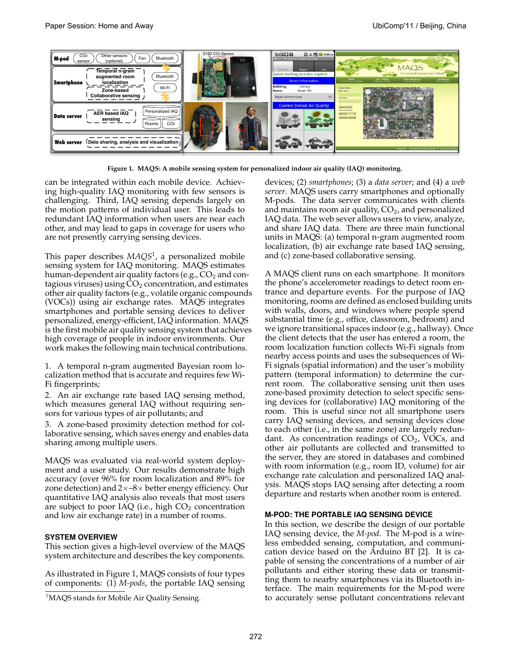

**Figure 1. MAQS: A mobile sensing system for personalized indoor air quality (IAQ) monitoring.**

can be integrated within each mobile device. Achieving high-quality IAQ monitoring with few sensors is challenging. Third, IAQ sensing depends largely on the motion patterns of individual user. This leads to redundant IAQ information when users are near each other, and may lead to gaps in coverage for users who are not presently carrying sensing devices.

This paper describes *MAQS*<sup>1</sup> , a personalized mobile sensing system for IAQ monitoring. MAQS estimates human-dependent air quality factors (e.g.,  $CO<sub>2</sub>$  and contagious viruses) using  $CO<sub>2</sub>$  concentration, and estimates other air quality factors (e.g., volatile organic compounds (VOCs)) using air exchange rates. MAQS integrates smartphones and portable sensing devices to deliver personalized, energy-efficient, IAQ information. MAQS is the first mobile air quality sensing system that achieves high coverage of people in indoor environments. Our work makes the following main technical contributions.

1. A temporal n-gram augmented Bayesian room localization method that is accurate and requires few Wi-Fi fingerprints;

2. An air exchange rate based IAQ sensing method, which measures general IAQ without requiring sensors for various types of air pollutants; and

3. A zone-based proximity detection method for collaborative sensing, which saves energy and enables data sharing among multiple users.

MAQS was evaluated via real-world system deployment and a user study. Our results demonstrate high accuracy (over 96% for room localization and 89% for zone detection) and  $2\times -8\times$  better energy efficiency. Our quantitative IAQ analysis also reveals that most users are subject to poor IAQ (i.e., high  $CO<sub>2</sub>$  concentration and low air exchange rate) in a number of rooms.

## **SYSTEM OVERVIEW**

This section gives a high-level overview of the MAQS system architecture and describes the key components.

As illustrated in Figure 1, MAQS consists of four types of components: (1) *M-pods*, the portable IAQ sensing

devices; (2) *smartphones*; (3) a *data server*; and (4) a *web server*. MAQS users carry smartphones and optionally M-pods. The data server communicates with clients and maintains room air quality,  $CO<sub>2</sub>$ , and personalized IAQ data. The web sever allows users to view, analyze, and share IAQ data. There are three main functional units in MAQS: (a) temporal n-gram augmented room localization, (b) air exchange rate based IAQ sensing, and (c) zone-based collaborative sensing.

A MAQS client runs on each smartphone. It monitors the phone's accelerometer readings to detect room entrance and departure events. For the purpose of IAQ monitoring, rooms are defined as enclosed building units with walls, doors, and windows where people spend substantial time (e.g., office, classroom, bedroom) and we ignore transitional spaces indoor (e.g., hallway). Once the client detects that the user has entered a room, the room localization function collects Wi-Fi signals from nearby access points and uses the subsequences of Wi-Fi signals (spatial information) and the user's mobility pattern (temporal information) to determine the current room. The collaborative sensing unit then uses zone-based proximity detection to select specific sensing devices for (collaborative) IAQ monitoring of the room. This is useful since not all smartphone users carry IAQ sensing devices, and sensing devices close to each other (i.e., in the same zone) are largely redundant. As concentration readings of  $CO<sub>2</sub>$ , VOCs, and other air pollutants are collected and transmitted to the server, they are stored in databases and combined with room information (e.g., room ID, volume) for air exchange rate calculation and personalized IAQ analysis. MAQS stops IAQ sensing after detecting a room departure and restarts when another room is entered.

## **M-POD: THE PORTABLE IAQ SENSING DEVICE**

In this section, we describe the design of our portable IAQ sensing device, the *M-pod*. The M-pod is a wireless embedded sensing, computation, and communication device based on the Arduino BT [2]. It is capable of sensing the concentrations of a number of air pollutants and either storing these data or transmitting them to nearby smartphones via its Bluetooth interface. The main requirements for the M-pod were to accurately sense pollutant concentrations relevant

<sup>&</sup>lt;sup>1</sup>MAQS stands for Mobile Air Quality Sensing.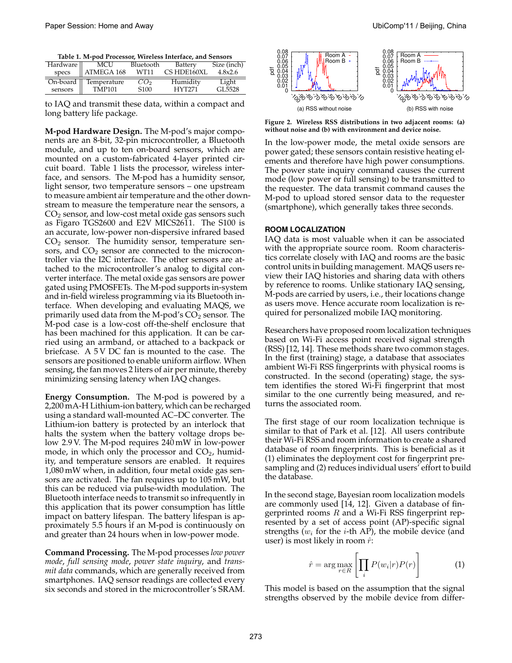**Table 1. M-pod Processor, Wireless Interface, and Sensors**

| Hardware | MCU                    | Bluetooth        | Battery     | Size (inch) |
|----------|------------------------|------------------|-------------|-------------|
| specs    | ATMEGA 168             | WT11             | CS HDE160XL | 4.8x2.6     |
|          | On-board   Temperature | CO <sub>2</sub>  | Humidity    | Light       |
| sensors  | TMP101                 | S <sub>100</sub> | HYT271      | GI 5528     |

to IAQ and transmit these data, within a compact and long battery life package.

**M-pod Hardware Design.** The M-pod's major components are an 8-bit, 32-pin microcontroller, a Bluetooth module, and up to ten on-board sensors, which are mounted on a custom-fabricated 4-layer printed circuit board. Table 1 lists the processor, wireless interface, and sensors. The M-pod has a humidity sensor, light sensor, two temperature sensors – one upstream to measure ambient air temperature and the other downstream to measure the temperature near the sensors, a  $CO<sub>2</sub>$  sensor, and low-cost metal oxide gas sensors such as Figaro TGS2600 and E2V MICS2611. The S100 is an accurate, low-power non-dispersive infrared based  $CO<sub>2</sub>$  sensor. The humidity sensor, temperature sensors, and  $CO<sub>2</sub>$  sensor are connected to the microcontroller via the I2C interface. The other sensors are attached to the microcontroller's analog to digital converter interface. The metal oxide gas sensors are power gated using PMOSFETs. The M-pod supports in-system and in-field wireless programming via its Bluetooth interface. When developing and evaluating MAQS, we primarily used data from the M-pod's  $CO<sub>2</sub>$  sensor. The M-pod case is a low-cost off-the-shelf enclosure that has been machined for this application. It can be carried using an armband, or attached to a backpack or briefcase. A 5 V DC fan is mounted to the case. The sensors are positioned to enable uniform airflow. When sensing, the fan moves 2 liters of air per minute, thereby minimizing sensing latency when IAQ changes.

**Energy Consumption.** The M-pod is powered by a 2,200 mA-H Lithium-ion battery, which can be recharged using a standard wall-mounted AC–DC converter. The Lithium-ion battery is protected by an interlock that halts the system when the battery voltage drops below 2.9 V. The M-pod requires 240 mW in low-power mode, in which only the processor and  $CO<sub>2</sub>$ , humidity, and temperature sensors are enabled. It requires 1,080 mW when, in addition, four metal oxide gas sensors are activated. The fan requires up to 105 mW, but this can be reduced via pulse-width modulation. The Bluetooth interface needs to transmit so infrequently in this application that its power consumption has little impact on battery lifespan. The battery lifespan is approximately 5.5 hours if an M-pod is continuously on and greater than 24 hours when in low-power mode.

**Command Processing.** The M-pod processes *low power mode*, *full sensing mode*, *power state inquiry*, and *transmit data* commands, which are generally received from smartphones. IAQ sensor readings are collected every six seconds and stored in the microcontroller's SRAM.



**Figure 2. Wireless RSS distributions in two adjacent rooms: (a) without noise and (b) with environment and device noise.**

In the low-power mode, the metal oxide sensors are power gated; these sensors contain resistive heating elements and therefore have high power consumptions. The power state inquiry command causes the current mode (low power or full sensing) to be transmitted to the requester. The data transmit command causes the M-pod to upload stored sensor data to the requester (smartphone), which generally takes three seconds.

#### **ROOM LOCALIZATION**

IAQ data is most valuable when it can be associated with the appropriate source room. Room characteristics correlate closely with IAQ and rooms are the basic control units in building management. MAQS users review their IAQ histories and sharing data with others by reference to rooms. Unlike stationary IAQ sensing, M-pods are carried by users, i.e., their locations change as users move. Hence accurate room localization is required for personalized mobile IAQ monitoring.

Researchers have proposed room localization techniques based on Wi-Fi access point received signal strength (RSS) [12, 14]. These methods share two common stages. In the first (training) stage, a database that associates ambient Wi-Fi RSS fingerprints with physical rooms is constructed. In the second (operating) stage, the system identifies the stored Wi-Fi fingerprint that most similar to the one currently being measured, and returns the associated room.

The first stage of our room localization technique is similar to that of Park et al. [12]. All users contribute their Wi-Fi RSS and room information to create a shared database of room fingerprints. This is beneficial as it (1) eliminates the deployment cost for fingerprint presampling and (2) reduces individual users' effort to build the database.

In the second stage, Bayesian room localization models are commonly used [14, 12]. Given a database of fingerprinted rooms  $R$  and a Wi-Fi RSS fingerprint represented by a set of access point (AP)-specific signal strengths  $(w_i)$  for the *i*-th AP), the mobile device (and user) is most likely in room  $\hat{r}$ :

$$
\hat{r} = \arg \max_{r \in R} \left[ \prod_{i} P(w_i|r)P(r) \right] \tag{1}
$$

This model is based on the assumption that the signal strengths observed by the mobile device from differ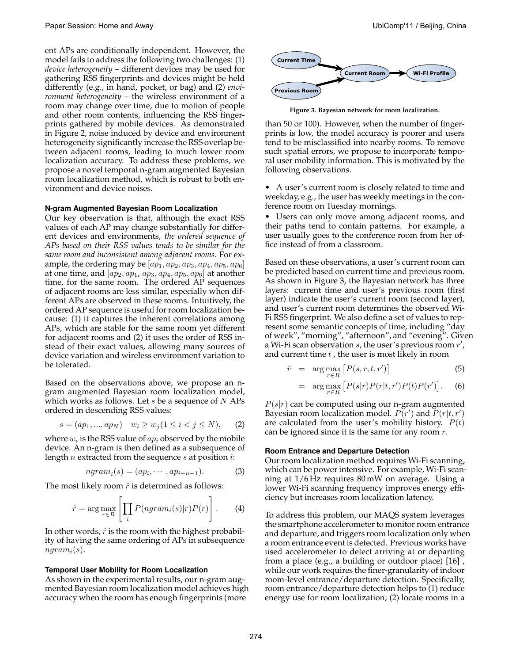ent APs are conditionally independent. However, the model fails to address the following two challenges: (1) *device heterogeneity* – different devices may be used for gathering RSS fingerprints and devices might be held differently (e.g., in hand, pocket, or bag) and (2) *environment heterogeneity* – the wireless environment of a room may change over time, due to motion of people and other room contents, influencing the RSS fingerprints gathered by mobile devices. As demonstrated in Figure 2, noise induced by device and environment heterogeneity significantly increase the RSS overlap between adjacent rooms, leading to much lower room localization accuracy. To address these problems, we propose a novel temporal n-gram augmented Bayesian room localization method, which is robust to both environment and device noises.

## **N-gram Augmented Bayesian Room Localization**

Our key observation is that, although the exact RSS values of each AP may change substantially for different devices and environments, *the ordered sequence of APs based on their RSS values tends to be similar for the same room and inconsistent among adjacent rooms*. For example, the ordering may be  $(ap_1, ap_2, ap_3, ap_4, ap_5, ap_6]$ at one time, and  $[ap_2, ap_1, ap_3, ap_4, ap_5, ap_6]$  at another time, for the same room. The ordered AP sequences of adjacent rooms are less similar, especially when different APs are observed in these rooms. Intuitively, the ordered AP sequence is useful for room localization because: (1) it captures the inherent correlations among APs, which are stable for the same room yet different for adjacent rooms and (2) it uses the order of RSS instead of their exact values, allowing many sources of device variation and wireless environment variation to be tolerated.

Based on the observations above, we propose an ngram augmented Bayesian room localization model, which works as follows. Let s be a sequence of  $N$  APs ordered in descending RSS values:

$$
s = (ap_1, ..., ap_N) \quad w_i \ge w_j (1 \le i < j \le N), \tag{2}
$$

where  $w_i$  is the RSS value of  $ap_i$  observed by the mobile device. An n-gram is then defined as a subsequence of length *n* extracted from the sequence *s* at position  $i$ :

$$
ngram_i(s) = (ap_i, \cdots, ap_{i+n-1}).
$$
\n(3)

The most likely room  $\hat{r}$  is determined as follows:

$$
\hat{r} = \arg\max_{r \in R} \left[ \prod_{i} P(ngram_i(s)|r)P(r) \right]. \tag{4}
$$

In other words,  $\hat{r}$  is the room with the highest probability of having the same ordering of APs in subsequence  $ngram_i(s)$ .

### **Temporal User Mobility for Room Localization**

As shown in the experimental results, our n-gram augmented Bayesian room localization model achieves high accuracy when the room has enough fingerprints (more



**Figure 3. Bayesian network for room localization.**

than 50 or 100). However, when the number of fingerprints is low, the model accuracy is poorer and users tend to be misclassified into nearby rooms. To remove such spatial errors, we propose to incorporate temporal user mobility information. This is motivated by the following observations.

• A user's current room is closely related to time and weekday, e.g., the user has weekly meetings in the conference room on Tuesday mornings.

• Users can only move among adjacent rooms, and their paths tend to contain patterns. For example, a user usually goes to the conference room from her office instead of from a classroom.

Based on these observations, a user's current room can be predicted based on current time and previous room. As shown in Figure 3, the Bayesian network has three layers: current time and user's previous room (first layer) indicate the user's current room (second layer), and user's current room determines the observed Wi-Fi RSS fingerprint. We also define a set of values to represent some semantic concepts of time, including "day of week", "morning", "afternoon", and "evening". Given a Wi-Fi scan observation s, the user's previous room  $r'$ , and current time  $t$ , the user is most likely in room

$$
\hat{r} = \arg \max_{r \in R} \left[ P(s, r, t, r') \right] \tag{5}
$$

$$
= \arg \max_{r \in R} \left[ P(s|r)P(r|t,r')P(t)P(r') \right]. \tag{6}
$$

 $P(s|r)$  can be computed using our n-gram augmented Bayesian room localization model.  $P(r')$  and  $P(r|t, r')$ are calculated from the user's mobility history.  $P(t)$ can be ignored since it is the same for any room  $r$ .

## **Room Entrance and Departure Detection**

Our room localization method requires Wi-Fi scanning, which can be power intensive. For example, Wi-Fi scanning at 1/6 Hz requires 80 mW on average. Using a lower Wi-Fi scanning frequency improves energy efficiency but increases room localization latency.

To address this problem, our MAQS system leverages the smartphone accelerometer to monitor room entrance and departure, and triggers room localization only when a room entrance event is detected. Previous works have used accelerometer to detect arriving at or departing from a place (e.g., a building or outdoor place) [16] , while our work requires the finer-granularity of indoor room-level entrance/departure detection. Specifically, room entrance/departure detection helps to (1) reduce energy use for room localization; (2) locate rooms in a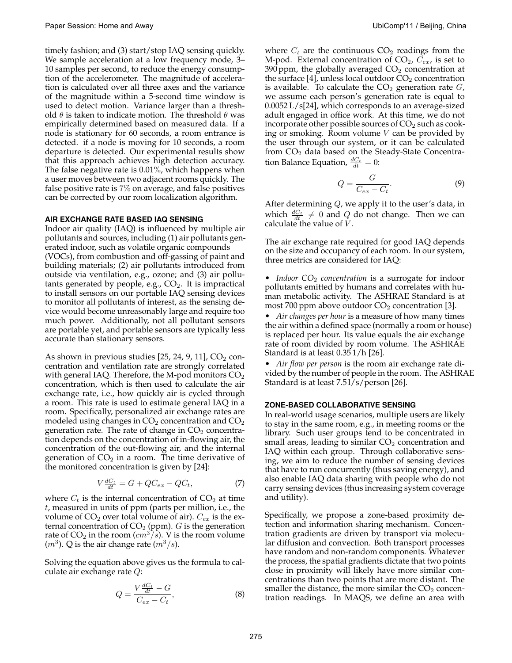timely fashion; and (3) start/stop IAQ sensing quickly. We sample acceleration at a low frequency mode, 3– 10 samples per second, to reduce the energy consumption of the accelerometer. The magnitude of acceleration is calculated over all three axes and the variance of the magnitude within a 5-second time window is used to detect motion. Variance larger than a threshold  $\theta$  is taken to indicate motion. The threshold  $\theta$  was empirically determined based on measured data. If a node is stationary for 60 seconds, a room entrance is detected. if a node is moving for 10 seconds, a room departure is detected. Our experimental results show that this approach achieves high detection accuracy. The false negative rate is 0.01%, which happens when a user moves between two adjacent rooms quickly. The false positive rate is 7% on average, and false positives can be corrected by our room localization algorithm.

## **AIR EXCHANGE RATE BASED IAQ SENSING**

Indoor air quality (IAQ) is influenced by multiple air pollutants and sources, including (1) air pollutants generated indoor, such as volatile organic compounds (VOCs), from combustion and off-gassing of paint and building materials; (2) air pollutants introduced from outside via ventilation, e.g., ozone; and (3) air pollutants generated by people, e.g.,  $CO<sub>2</sub>$ . It is impractical to install sensors on our portable IAQ sensing devices to monitor all pollutants of interest, as the sensing device would become unreasonably large and require too much power. Additionally, not all pollutant sensors are portable yet, and portable sensors are typically less accurate than stationary sensors.

As shown in previous studies  $[25, 24, 9, 11]$ ,  $CO<sub>2</sub>$  concentration and ventilation rate are strongly correlated with general IAQ. Therefore, the M-pod monitors  $CO<sub>2</sub>$ concentration, which is then used to calculate the air exchange rate, i.e., how quickly air is cycled through a room. This rate is used to estimate general IAQ in a room. Specifically, personalized air exchange rates are modeled using changes in  $CO<sub>2</sub>$  concentration and  $CO<sub>2</sub>$ generation rate. The rate of change in  $CO<sub>2</sub>$  concentration depends on the concentration of in-flowing air, the concentration of the out-flowing air, and the internal generation of  $CO<sub>2</sub>$  in a room. The time derivative of the monitored concentration is given by [24]:

$$
V\frac{dC_t}{dt} = G + QC_{ex} - QC_t, \tag{7}
$$

where  $C_t$  is the internal concentration of  $CO_2$  at time  $t$ , measured in units of  $ppm$  (parts per million, i.e., the volume of  $CO_2$  over total volume of air).  $C_{ex}$  is the external concentration of  $CO<sub>2</sub>$  (ppm). G is the generation rate of  $CO_2$  in the room  $(cm^3/s)$ . V is the room volume  $(m^3)$ . Q is the air change rate  $(m^3/s)$ .

Solving the equation above gives us the formula to calculate air exchange rate Q:

$$
Q = \frac{V \frac{dC_t}{dt} - G}{C_{ex} - C_t},\tag{8}
$$

where  $C_t$  are the continuous  $CO_2$  readings from the M-pod. External concentration of  $CO_2$ ,  $C_{ex}$ , is set to 390 ppm, the globally averaged  $CO<sub>2</sub>$  concentration at the surface [4], unless local outdoor  $CO<sub>2</sub>$  concentration is available. To calculate the  $CO<sub>2</sub>$  generation rate  $G<sub>1</sub>$ , we assume each person's generation rate is equal to 0.0052 L/s[24], which corresponds to an average-sized adult engaged in office work. At this time, we do not incorporate other possible sources of  $CO<sub>2</sub>$  such as cooking or smoking. Room volume  $V$  can be provided by the user through our system, or it can be calculated from  $CO<sub>2</sub>$  data based on the Steady-State Concentration Balance Equation,  $\frac{dC_t}{dt} = 0$ :

$$
Q = \frac{G}{C_{ex} - C_t}.\tag{9}
$$

After determining  $Q$ , we apply it to the user's data, in which  $\frac{dC_t}{dt} \neq 0$  and Q do not change. Then we can calculate the value of  $V$ .

The air exchange rate required for good IAQ depends on the size and occupancy of each room. In our system, three metrics are considered for IAQ:

• *Indoor CO*<sub>2</sub> *concentration* is a surrogate for indoor pollutants emitted by humans and correlates with human metabolic activity. The ASHRAE Standard is at most 700 ppm above outdoor  $CO<sub>2</sub>$  concentration [3].

• *Air changes per hour* is a measure of how many times the air within a defined space (normally a room or house) is replaced per hour. Its value equals the air exchange rate of room divided by room volume. The ASHRAE Standard is at least 0.35 1/h [26].

• *Air flow per person* is the room air exchange rate divided by the number of people in the room. The ASHRAE Standard is at least 7.51/s/person [26].

#### **ZONE-BASED COLLABORATIVE SENSING**

In real-world usage scenarios, multiple users are likely to stay in the same room, e.g., in meeting rooms or the library. Such user groups tend to be concentrated in small areas, leading to similar  $CO<sub>2</sub>$  concentration and IAQ within each group. Through collaborative sensing, we aim to reduce the number of sensing devices that have to run concurrently (thus saving energy), and also enable IAQ data sharing with people who do not carry sensing devices (thus increasing system coverage and utility).

Specifically, we propose a zone-based proximity detection and information sharing mechanism. Concentration gradients are driven by transport via molecular diffusion and convection. Both transport processes have random and non-random components. Whatever the process, the spatial gradients dictate that two points close in proximity will likely have more similar concentrations than two points that are more distant. The smaller the distance, the more similar the  $CO<sub>2</sub>$  concentration readings. In MAQS, we define an area with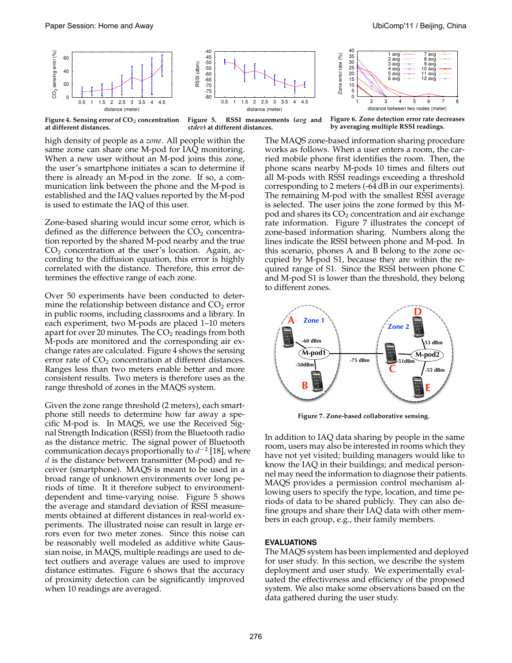7 avg 8 avg 9 avg 10 avg 11 avg  $12a$ 



**Figure 4. Sensing error of CO**2 **concentration**

**at different distances.**

**Figure 5. RSSI measurements (***avg* **and** *stdev***) at different distances.**

**Figure 6. Zone detection error rate decreases by averaging multiple RSSI readings.**

1 avg 2 avg 3 avg 4 avg 5 avg 6 avg

1 2 3 4 5 6 7 8

distance between two nodes (meter)

high density of people as a *zone*. All people within the same zone can share one M-pod for IAQ monitoring. When a new user without an M-pod joins this zone, the user's smartphone initiates a scan to determine if there is already an M-pod in the zone. If so, a communication link between the phone and the M-pod is established and the IAQ values reported by the M-pod is used to estimate the IAQ of this user.

Zone-based sharing would incur some error, which is defined as the difference between the  $CO<sub>2</sub>$  concentration reported by the shared M-pod nearby and the true  $CO<sub>2</sub>$  concentration at the user's location. Again, according to the diffusion equation, this error is highly correlated with the distance. Therefore, this error determines the effective range of each zone.

Over 50 experiments have been conducted to determine the relationship between distance and  $CO<sub>2</sub>$  error in public rooms, including classrooms and a library. In each experiment, two M-pods are placed 1–10 meters apart for over 20 minutes. The  $CO<sub>2</sub>$  readings from both M-pods are monitored and the corresponding air exchange rates are calculated. Figure 4 shows the sensing error rate of  $CO<sub>2</sub>$  concentration at different distances. Ranges less than two meters enable better and more consistent results. Two meters is therefore uses as the range threshold of zones in the MAQS system.

Given the zone range threshold (2 meters), each smartphone still needs to determine how far away a specific M-pod is. In MAQS, we use the Received Signal Strength Indication (RSSI) from the Bluetooth radio as the distance metric. The signal power of Bluetooth communication decays proportionally to  $d^{-2}$  [18], where  $d$  is the distance between transmitter (M-pod) and receiver (smartphone). MAQS is meant to be used in a broad range of unknown environments over long periods of time. It it therefore subject to environmentdependent and time-varying noise. Figure 5 shows the average and standard deviation of RSSI measurements obtained at different distances in real-world experiments. The illustrated noise can result in large errors even for two meter zones. Since this noise can be reasonably well modeled as additive white Gaussian noise, in MAQS, multiple readings are used to detect outliers and average values are used to improve distance estimates. Figure 6 shows that the accuracy of proximity detection can be significantly improved when 10 readings are averaged.

The MAQS zone-based information sharing procedure works as follows. When a user enters a room, the carried mobile phone first identifies the room. Then, the phone scans nearby M-pods 10 times and filters out all M-pods with RSSI readings exceeding a threshold corresponding to 2 meters (-64 dB in our experiments). The remaining M-pod with the smallest RSSI average is selected. The user joins the zone formed by this Mpod and shares its  $CO<sub>2</sub>$  concentration and air exchange rate information. Figure 7 illustrates the concept of zone-based information sharing. Numbers along the lines indicate the RSSI between phone and M-pod. In this scenario, phones A and B belong to the zone occupied by M-pod S1, because they are within the required range of S1. Since the RSSI between phone C and M-pod S1 is lower than the threshold, they belong to different zones.

Zone error rate (%)

Zone error rate (%)



**Figure 7. Zone-based collaborative sensing.**

In addition to IAQ data sharing by people in the same room, users may also be interested in rooms which they have not yet visited; building managers would like to know the IAQ in their buildings; and medical personnel may need the information to diagnose their patients. MAQS provides a permission control mechanism allowing users to specify the type, location, and time periods of data to be shared publicly. They can also define groups and share their IAQ data with other members in each group, e.g., their family members.

## **EVALUATIONS**

The MAQS system has been implemented and deployed for user study. In this section, we describe the system deployment and user study. We experimentally evaluated the effectiveness and efficiency of the proposed system. We also make some observations based on the data gathered during the user study.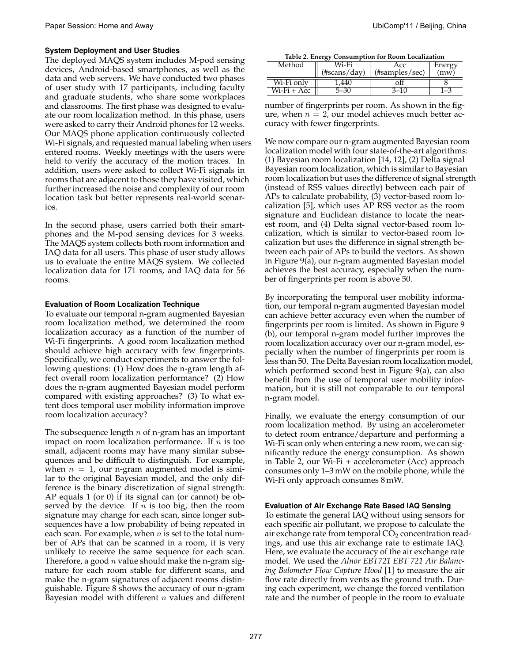## **System Deployment and User Studies**

The deployed MAQS system includes M-pod sensing devices, Android-based smartphones, as well as the data and web servers. We have conducted two phases of user study with 17 participants, including faculty and graduate students, who share some workplaces and classrooms. The first phase was designed to evaluate our room localization method. In this phase, users were asked to carry their Android phones for 12 weeks. Our MAQS phone application continuously collected Wi-Fi signals, and requested manual labeling when users entered rooms. Weekly meetings with the users were held to verify the accuracy of the motion traces. In addition, users were asked to collect Wi-Fi signals in rooms that are adjacent to those they have visited, which further increased the noise and complexity of our room location task but better represents real-world scenarios.

In the second phase, users carried both their smartphones and the M-pod sensing devices for 3 weeks. The MAQS system collects both room information and IAQ data for all users. This phase of user study allows us to evaluate the entire MAQS system. We collected localization data for 171 rooms, and IAQ data for 56 rooms.

## **Evaluation of Room Localization Technique**

To evaluate our temporal n-gram augmented Bayesian room localization method, we determined the room localization accuracy as a function of the number of Wi-Fi fingerprints. A good room localization method should achieve high accuracy with few fingerprints. Specifically, we conduct experiments to answer the following questions: (1) How does the n-gram length affect overall room localization performance? (2) How does the n-gram augmented Bayesian model perform compared with existing approaches? (3) To what extent does temporal user mobility information improve room localization accuracy?

The subsequence length  $n$  of n-gram has an important impact on room localization performance. If  $n$  is too small, adjacent rooms may have many similar subsequences and be difficult to distinguish. For example, when  $n = 1$ , our n-gram augmented model is similar to the original Bayesian model, and the only difference is the binary discretization of signal strength: AP equals 1 (or 0) if its signal can (or cannot) be observed by the device. If  $n$  is too big, then the room signature may change for each scan, since longer subsequences have a low probability of being repeated in each scan. For example, when  $n$  is set to the total number of APs that can be scanned in a room, it is very unlikely to receive the same sequence for each scan. Therefore, a good  $n$  value should make the n-gram signature for each room stable for different scans, and make the n-gram signatures of adjacent rooms distinguishable. Figure 8 shows the accuracy of our n-gram Bayesian model with different  $n$  values and different

**Table 2. Energy Consumption for Room Localization**

| Method      | Wi-Fi           | Acc               | Energy |
|-------------|-----------------|-------------------|--------|
|             | $(\#scans/day)$ | $(\#samples/sec)$ |        |
| Wi-Fi only  |                 |                   |        |
| Wi-Fi + Acc |                 |                   |        |

number of fingerprints per room. As shown in the figure, when  $n = 2$ , our model achieves much better accuracy with fewer fingerprints.

We now compare our n-gram augmented Bayesian room localization model with four state-of-the-art algorithms: (1) Bayesian room localization [14, 12], (2) Delta signal Bayesian room localization, which is similar to Bayesian room localization but uses the difference of signal strength (instead of RSS values directly) between each pair of APs to calculate probability, (3) vector-based room localization [5], which uses AP RSS vector as the room signature and Euclidean distance to locate the nearest room, and (4) Delta signal vector-based room localization, which is similar to vector-based room localization but uses the difference in signal strength between each pair of APs to build the vectors. As shown in Figure 9(a), our n-gram augmented Bayesian model achieves the best accuracy, especially when the number of fingerprints per room is above 50.

By incorporating the temporal user mobility information, our temporal n-gram augmented Bayesian model can achieve better accuracy even when the number of fingerprints per room is limited. As shown in Figure 9 (b), our temporal n-gram model further improves the room localization accuracy over our n-gram model, especially when the number of fingerprints per room is less than 50. The Delta Bayesian room localization model, which performed second best in Figure 9(a), can also benefit from the use of temporal user mobility information, but it is still not comparable to our temporal n-gram model.

Finally, we evaluate the energy consumption of our room localization method. By using an accelerometer to detect room entrance/departure and performing a Wi-Fi scan only when entering a new room, we can significantly reduce the energy consumption. As shown in Table 2, our Wi-Fi + accelerometer (Acc) approach consumes only 1–3 mW on the mobile phone, while the Wi-Fi only approach consumes 8 mW.

### **Evaluation of Air Exchange Rate Based IAQ Sensing**

To estimate the general IAQ without using sensors for each specific air pollutant, we propose to calculate the air exchange rate from temporal  $\overline{CO}_2$  concentration readings, and use this air exchange rate to estimate IAQ. Here, we evaluate the accuracy of the air exchange rate model. We used the *Alnor EBT721 EBT 721 Air Balancing Balometer Flow Capture Hood* [1] to measure the air flow rate directly from vents as the ground truth. During each experiment, we change the forced ventilation rate and the number of people in the room to evaluate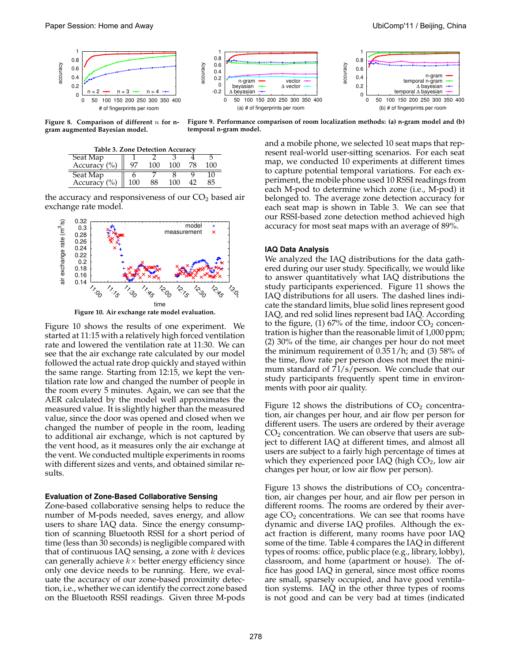

**Figure 8. Comparison of different** n **for ngram augmented Bayesian model.**

**Figure 9. Performance comparison of room localization methods: (a) n-gram model and (b) temporal n-gram model.**

| Table 3. Zone Detection Accuracy |     |     |     |    |     |
|----------------------------------|-----|-----|-----|----|-----|
| Seat Map                         |     |     |     |    |     |
| Accuracy $(\% )$                 |     | 100 | 100 | 78 | 100 |
| Seat Map                         |     |     |     |    |     |
| Accuracy $(\% )$                 | 100 | 88  | 100 |    | 85  |

the accuracy and responsiveness of our  $CO<sub>2</sub>$  based air exchange rate model.



**Figure 10. Air exchange rate model evaluation.**

Figure 10 shows the results of one experiment. We started at 11:15 with a relatively high forced ventilation rate and lowered the ventilation rate at 11:30. We can see that the air exchange rate calculated by our model followed the actual rate drop quickly and stayed within the same range. Starting from 12:15, we kept the ventilation rate low and changed the number of people in the room every 5 minutes. Again, we can see that the AER calculated by the model well approximates the measured value. It is slightly higher than the measured value, since the door was opened and closed when we changed the number of people in the room, leading to additional air exchange, which is not captured by the vent hood, as it measures only the air exchange at the vent. We conducted multiple experiments in rooms with different sizes and vents, and obtained similar results.

### **Evaluation of Zone-Based Collaborative Sensing**

Zone-based collaborative sensing helps to reduce the number of M-pods needed, saves energy, and allow users to share IAQ data. Since the energy consumption of scanning Bluetooth RSSI for a short period of time (less than 30 seconds) is negligible compared with that of continuous IAQ sensing, a zone with  $k$  devices can generally achieve  $k \times$  better energy efficiency since only one device needs to be running. Here, we evaluate the accuracy of our zone-based proximity detection, i.e., whether we can identify the correct zone based on the Bluetooth RSSI readings. Given three M-pods

and a mobile phone, we selected 10 seat maps that represent real-world user-sitting scenarios. For each seat map, we conducted 10 experiments at different times to capture potential temporal variations. For each experiment, the mobile phone used 10 RSSI readings from each M-pod to determine which zone (i.e., M-pod) it belonged to. The average zone detection accuracy for each seat map is shown in Table 3. We can see that our RSSI-based zone detection method achieved high accuracy for most seat maps with an average of 89%.

#### **IAQ Data Analysis**

We analyzed the IAQ distributions for the data gathered during our user study. Specifically, we would like to answer quantitatively what IAQ distributions the study participants experienced. Figure 11 shows the IAQ distributions for all users. The dashed lines indicate the standard limits, blue solid lines represent good IAQ, and red solid lines represent bad IAQ. According to the figure, (1) 67% of the time, indoor  $CO_2$  concentration is higher than the reasonable limit of 1,000 ppm; (2) 30% of the time, air changes per hour do not meet the minimum requirement of 0.35 1/h; and (3) 58% of the time, flow rate per person does not meet the minimum standard of  $\frac{71}{s}$  person. We conclude that our study participants frequently spent time in environments with poor air quality.

Figure 12 shows the distributions of  $CO<sub>2</sub>$  concentration, air changes per hour, and air flow per person for different users. The users are ordered by their average  $CO<sub>2</sub>$  concentration. We can observe that users are subject to different IAQ at different times, and almost all users are subject to a fairly high percentage of times at which they experienced poor IAQ (high  $CO<sub>2</sub>$ , low air changes per hour, or low air flow per person).

Figure 13 shows the distributions of  $CO<sub>2</sub>$  concentration, air changes per hour, and air flow per person in different rooms. The rooms are ordered by their average  $CO<sub>2</sub>$  concentrations. We can see that rooms have dynamic and diverse IAQ profiles. Although the exact fraction is different, many rooms have poor IAQ some of the time. Table 4 compares the IAQ in different types of rooms: office, public place (e.g., library, lobby), classroom, and home (apartment or house). The office has good IAQ in general, since most office rooms are small, sparsely occupied, and have good ventilation systems. IAQ in the other three types of rooms is not good and can be very bad at times (indicated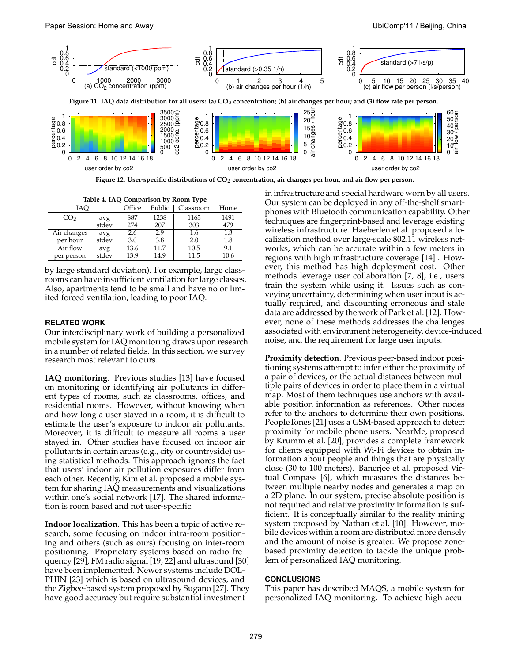user order by co2



user order by co2

**Figure 12. User-specific distributions of CO**2 **concentration, air changes per hour, and air flow per person.**

| Table 4. IAQ Comparison by Room Type |       |        |        |           |      |
|--------------------------------------|-------|--------|--------|-----------|------|
| IAC                                  |       | Office | Public | Classroom | Home |
| CO <sub>2</sub>                      | avg   | 887    | 1238   | 1163      | 1491 |
|                                      | stdev | 274    | 207    | 303       | 479  |
| Air changes                          | avg   | 2.6    | 2.9    | 1.6       | 1.3  |
| per hour                             | stdev | 3.0    | 3.8    | 2.0       | 1.8  |
| Air flow                             | avg   | 13.6   | 11.7   | 10.5      | 9.1  |
| per person                           | stdev | 13.9   | 14.9   | 11.5      | 10.6 |

by large standard deviation). For example, large classrooms can have insufficient ventilation for large classes. Also, apartments tend to be small and have no or limited forced ventilation, leading to poor IAQ.

## **RELATED WORK**

Our interdisciplinary work of building a personalized mobile system for IAQ monitoring draws upon research in a number of related fields. In this section, we survey research most relevant to ours.

**IAQ monitoring**. Previous studies [13] have focused on monitoring or identifying air pollutants in different types of rooms, such as classrooms, offices, and residential rooms. However, without knowing when and how long a user stayed in a room, it is difficult to estimate the user's exposure to indoor air pollutants. Moreover, it is difficult to measure all rooms a user stayed in. Other studies have focused on indoor air pollutants in certain areas (e.g., city or countryside) using statistical methods. This approach ignores the fact that users' indoor air pollution exposures differ from each other. Recently, Kim et al. proposed a mobile system for sharing IAQ measurements and visualizations within one's social network [17]. The shared information is room based and not user-specific.

**Indoor localization**. This has been a topic of active research, some focusing on indoor intra-room positioning and others (such as ours) focusing on inter-room positioning. Proprietary systems based on radio frequency [29], FM radio signal [19, 22] and ultrasound [30] have been implemented. Newer systems include DOL-PHIN [23] which is based on ultrasound devices, and the Zigbee-based system proposed by Sugano [27]. They have good accuracy but require substantial investment

in infrastructure and special hardware worn by all users. Our system can be deployed in any off-the-shelf smartphones with Bluetooth communication capability. Other techniques are fingerprint-based and leverage existing wireless infrastructure. Haeberlen et al. proposed a localization method over large-scale 802.11 wireless networks, which can be accurate within a few meters in regions with high infrastructure coverage [14] . However, this method has high deployment cost. Other methods leverage user collaboration [7, 8], i.e., users train the system while using it. Issues such as conveying uncertainty, determining when user input is actually required, and discounting erroneous and stale data are addressed by the work of Park et al. [12]. However, none of these methods addresses the challenges associated with environment heterogeneity, device-induced noise, and the requirement for large user inputs.

user order by co2

**Proximity detection**. Previous peer-based indoor positioning systems attempt to infer either the proximity of a pair of devices, or the actual distances between multiple pairs of devices in order to place them in a virtual map. Most of them techniques use anchors with available position information as references. Other nodes refer to the anchors to determine their own positions. PeopleTones [21] uses a GSM-based approach to detect proximity for mobile phone users. NearMe, proposed by Krumm et al. [20], provides a complete framework for clients equipped with Wi-Fi devices to obtain information about people and things that are physically close (30 to 100 meters). Banerjee et al. proposed Virtual Compass [6], which measures the distances between multiple nearby nodes and generates a map on a 2D plane. In our system, precise absolute position is not required and relative proximity information is sufficient. It is conceptually similar to the reality mining system proposed by Nathan et al. [10]. However, mobile devices within a room are distributed more densely and the amount of noise is greater. We propose zonebased proximity detection to tackle the unique problem of personalized IAQ monitoring.

## **CONCLUSIONS**

This paper has described MAQS, a mobile system for personalized IAQ monitoring. To achieve high accu-